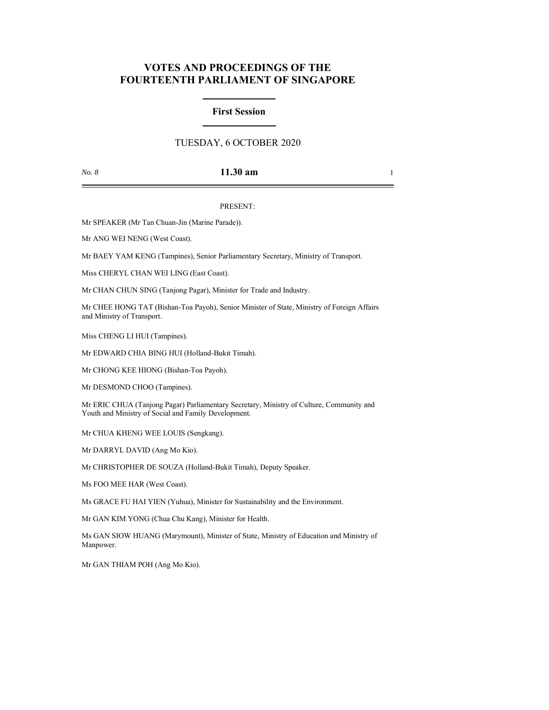# **VOTES AND PROCEEDINGS OF THE FOURTEENTH PARLIAMENT OF SINGAPORE**

## **First Session**

## TUESDAY, 6 OCTOBER 2020

### *No. 8* **11.30 am** 1

### PRESENT:

Mr SPEAKER (Mr Tan Chuan-Jin (Marine Parade)).

Mr ANG WEI NENG (West Coast).

Mr BAEY YAM KENG (Tampines), Senior Parliamentary Secretary, Ministry of Transport.

Miss CHERYL CHAN WEI LING (East Coast).

Mr CHAN CHUN SING (Tanjong Pagar), Minister for Trade and Industry.

Mr CHEE HONG TAT (Bishan-Toa Payoh), Senior Minister of State, Ministry of Foreign Affairs and Ministry of Transport.

Miss CHENG LI HUI (Tampines).

Mr EDWARD CHIA BING HUI (Holland-Bukit Timah).

Mr CHONG KEE HIONG (Bishan-Toa Payoh).

Mr DESMOND CHOO (Tampines).

Mr ERIC CHUA (Tanjong Pagar) Parliamentary Secretary, Ministry of Culture, Community and Youth and Ministry of Social and Family Development.

Mr CHUA KHENG WEE LOUIS (Sengkang).

Mr DARRYL DAVID (Ang Mo Kio).

Mr CHRISTOPHER DE SOUZA (Holland-Bukit Timah), Deputy Speaker.

Ms FOO MEE HAR (West Coast).

Ms GRACE FU HAI YIEN (Yuhua), Minister for Sustainability and the Environment.

Mr GAN KIM YONG (Chua Chu Kang), Minister for Health.

Ms GAN SIOW HUANG (Marymount), Minister of State, Ministry of Education and Ministry of Manpower.

Mr GAN THIAM POH (Ang Mo Kio).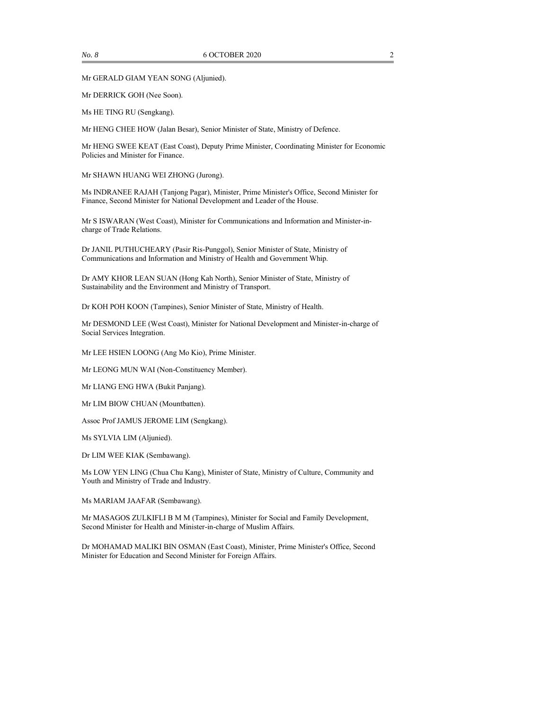Mr GERALD GIAM YEAN SONG (Aljunied).

Mr DERRICK GOH (Nee Soon).

Ms HE TING RU (Sengkang).

Mr HENG CHEE HOW (Jalan Besar), Senior Minister of State, Ministry of Defence.

Mr HENG SWEE KEAT (East Coast), Deputy Prime Minister, Coordinating Minister for Economic Policies and Minister for Finance.

Mr SHAWN HUANG WEI ZHONG (Jurong).

Ms INDRANEE RAJAH (Tanjong Pagar), Minister, Prime Minister's Office, Second Minister for Finance, Second Minister for National Development and Leader of the House.

Mr S ISWARAN (West Coast), Minister for Communications and Information and Minister-incharge of Trade Relations.

Dr JANIL PUTHUCHEARY (Pasir Ris-Punggol), Senior Minister of State, Ministry of Communications and Information and Ministry of Health and Government Whip.

Dr AMY KHOR LEAN SUAN (Hong Kah North), Senior Minister of State, Ministry of Sustainability and the Environment and Ministry of Transport.

Dr KOH POH KOON (Tampines), Senior Minister of State, Ministry of Health.

Mr DESMOND LEE (West Coast), Minister for National Development and Minister-in-charge of Social Services Integration.

Mr LEE HSIEN LOONG (Ang Mo Kio), Prime Minister.

Mr LEONG MUN WAI (Non-Constituency Member).

Mr LIANG ENG HWA (Bukit Panjang).

Mr LIM BIOW CHUAN (Mountbatten).

Assoc Prof JAMUS JEROME LIM (Sengkang).

Ms SYLVIA LIM (Aljunied).

Dr LIM WEE KIAK (Sembawang).

Ms LOW YEN LING (Chua Chu Kang), Minister of State, Ministry of Culture, Community and Youth and Ministry of Trade and Industry.

Ms MARIAM JAAFAR (Sembawang).

Mr MASAGOS ZULKIFLI B M M (Tampines), Minister for Social and Family Development, Second Minister for Health and Minister-in-charge of Muslim Affairs.

Dr MOHAMAD MALIKI BIN OSMAN (East Coast), Minister, Prime Minister's Office, Second Minister for Education and Second Minister for Foreign Affairs.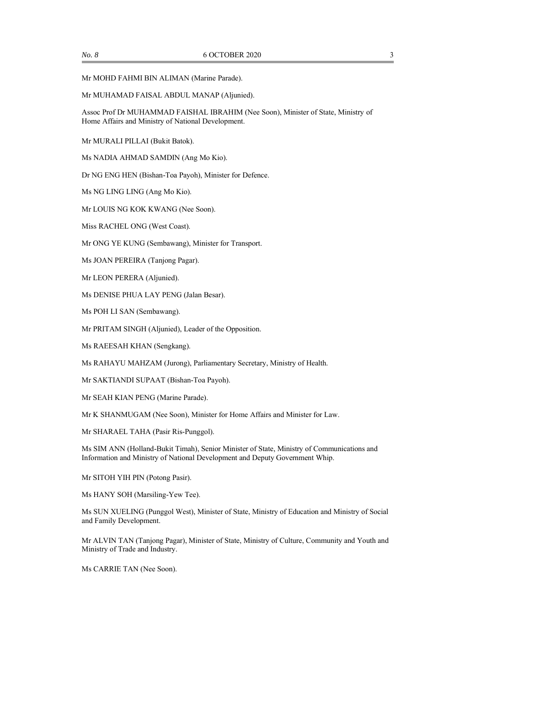Mr MOHD FAHMI BIN ALIMAN (Marine Parade).

#### Mr MUHAMAD FAISAL ABDUL MANAP (Aljunied).

Assoc Prof Dr MUHAMMAD FAISHAL IBRAHIM (Nee Soon), Minister of State, Ministry of Home Affairs and Ministry of National Development.

Mr MURALI PILLAI (Bukit Batok).

Ms NADIA AHMAD SAMDIN (Ang Mo Kio).

Dr NG ENG HEN (Bishan-Toa Payoh), Minister for Defence.

Ms NG LING LING (Ang Mo Kio).

Mr LOUIS NG KOK KWANG (Nee Soon).

Miss RACHEL ONG (West Coast).

Mr ONG YE KUNG (Sembawang), Minister for Transport.

Ms JOAN PEREIRA (Tanjong Pagar).

Mr LEON PERERA (Aljunied).

Ms DENISE PHUA LAY PENG (Jalan Besar).

Ms POH LI SAN (Sembawang).

Mr PRITAM SINGH (Aljunied), Leader of the Opposition.

Ms RAEESAH KHAN (Sengkang).

Ms RAHAYU MAHZAM (Jurong), Parliamentary Secretary, Ministry of Health.

Mr SAKTIANDI SUPAAT (Bishan-Toa Payoh).

Mr SEAH KIAN PENG (Marine Parade).

Mr K SHANMUGAM (Nee Soon), Minister for Home Affairs and Minister for Law.

Mr SHARAEL TAHA (Pasir Ris-Punggol).

Ms SIM ANN (Holland-Bukit Timah), Senior Minister of State, Ministry of Communications and Information and Ministry of National Development and Deputy Government Whip.

Mr SITOH YIH PIN (Potong Pasir).

Ms HANY SOH (Marsiling-Yew Tee).

Ms SUN XUELING (Punggol West), Minister of State, Ministry of Education and Ministry of Social and Family Development.

Mr ALVIN TAN (Tanjong Pagar), Minister of State, Ministry of Culture, Community and Youth and Ministry of Trade and Industry.

Ms CARRIE TAN (Nee Soon).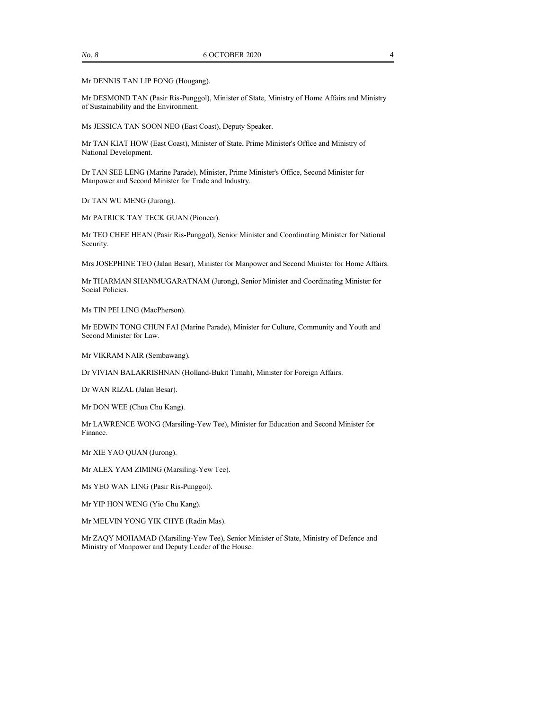Mr DENNIS TAN LIP FONG (Hougang).

Mr DESMOND TAN (Pasir Ris-Punggol), Minister of State, Ministry of Home Affairs and Ministry of Sustainability and the Environment.

Ms JESSICA TAN SOON NEO (East Coast), Deputy Speaker.

Mr TAN KIAT HOW (East Coast), Minister of State, Prime Minister's Office and Ministry of National Development.

Dr TAN SEE LENG (Marine Parade), Minister, Prime Minister's Office, Second Minister for Manpower and Second Minister for Trade and Industry.

Dr TAN WU MENG (Jurong).

Mr PATRICK TAY TECK GUAN (Pioneer).

Mr TEO CHEE HEAN (Pasir Ris-Punggol), Senior Minister and Coordinating Minister for National Security.

Mrs JOSEPHINE TEO (Jalan Besar), Minister for Manpower and Second Minister for Home Affairs.

Mr THARMAN SHANMUGARATNAM (Jurong), Senior Minister and Coordinating Minister for Social Policies.

Ms TIN PEI LING (MacPherson).

Mr EDWIN TONG CHUN FAI (Marine Parade), Minister for Culture, Community and Youth and Second Minister for Law.

Mr VIKRAM NAIR (Sembawang).

Dr VIVIAN BALAKRISHNAN (Holland-Bukit Timah), Minister for Foreign Affairs.

Dr WAN RIZAL (Jalan Besar).

Mr DON WEE (Chua Chu Kang).

Mr LAWRENCE WONG (Marsiling-Yew Tee), Minister for Education and Second Minister for Finance.

Mr XIE YAO QUAN (Jurong).

Mr ALEX YAM ZIMING (Marsiling-Yew Tee).

Ms YEO WAN LING (Pasir Ris-Punggol).

Mr YIP HON WENG (Yio Chu Kang).

Mr MELVIN YONG YIK CHYE (Radin Mas).

Mr ZAQY MOHAMAD (Marsiling-Yew Tee), Senior Minister of State, Ministry of Defence and Ministry of Manpower and Deputy Leader of the House.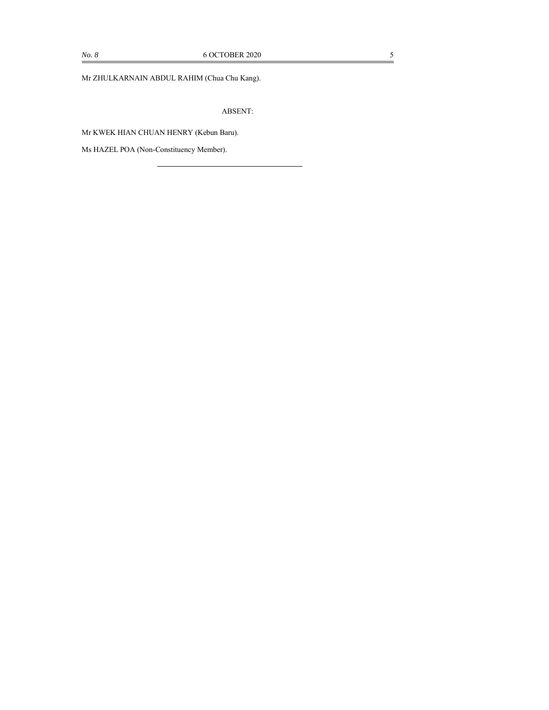Mr ZHULKARNAIN ABDUL RAHIM (Chua Chu Kang).

ABSENT:

Mr KWEK HIAN CHUAN HENRY (Kebun Baru).

Ms HAZEL POA (Non-Constituency Member).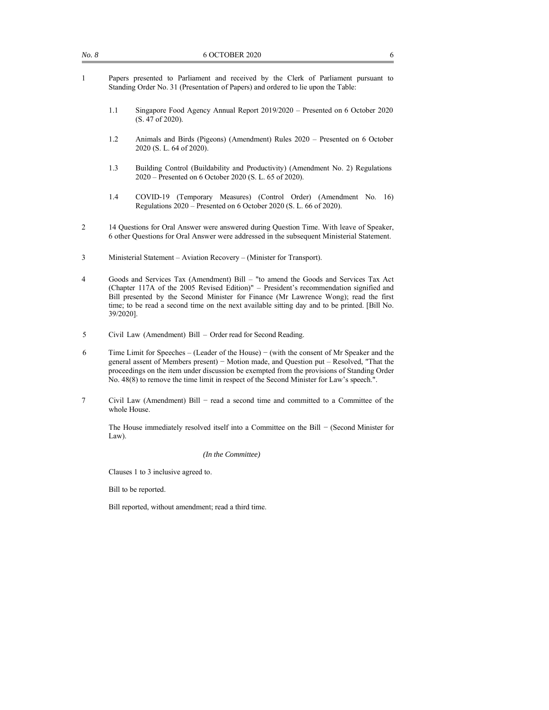| No. 8 | <b>6 OCTOBER 2020</b> |  |  |                                                                                    |  |  |  |  |  |  |  |  |
|-------|-----------------------|--|--|------------------------------------------------------------------------------------|--|--|--|--|--|--|--|--|
|       |                       |  |  | Papers presented to Parliament and received by the Clerk of Parliament pursuant to |  |  |  |  |  |  |  |  |

- presented to Parliament and received by the Clerk of Parliament pursuant to Standing Order No. 31 (Presentation of Papers) and ordered to lie upon the Table:
	- 1.1 Singapore Food Agency Annual Report 2019/2020 Presented on 6 October 2020 (S. 47 of 2020).
	- 1.2 Animals and Birds (Pigeons) (Amendment) Rules 2020 Presented on 6 October 2020 (S. L. 64 of 2020).
	- 1.3 Building Control (Buildability and Productivity) (Amendment No. 2) Regulations 2020 – Presented on 6 October 2020 (S. L. 65 of 2020).
	- 1.4 COVID-19 (Temporary Measures) (Control Order) (Amendment No. 16) Regulations 2020 – Presented on 6 October 2020 (S. L. 66 of 2020).
- 2 14 Questions for Oral Answer were answered during Question Time. With leave of Speaker, 6 other Questions for Oral Answer were addressed in the subsequent Ministerial Statement.
- 3 Ministerial Statement Aviation Recovery (Minister for Transport).
- 4 Goods and Services Tax (Amendment) Bill "to amend the Goods and Services Tax Act (Chapter 117A of the 2005 Revised Edition)" – President's recommendation signified and Bill presented by the Second Minister for Finance (Mr Lawrence Wong); read the first time; to be read a second time on the next available sitting day and to be printed. [Bill No. 39/2020].
- 5 Civil Law (Amendment) Bill Order read for Second Reading.
- 6 Time Limit for Speeches (Leader of the House) − (with the consent of Mr Speaker and the general assent of Members present) − Motion made, and Question put – Resolved, "That the proceedings on the item under discussion be exempted from the provisions of Standing Order No. 48(8) to remove the time limit in respect of the Second Minister for Law's speech.".
- 7 Civil Law (Amendment) Bill − read a second time and committed to a Committee of the whole House.

The House immediately resolved itself into a Committee on the Bill − (Second Minister for Law).

*(In the Committee)* 

Clauses 1 to 3 inclusive agreed to.

Bill to be reported.

Bill reported, without amendment; read a third time.